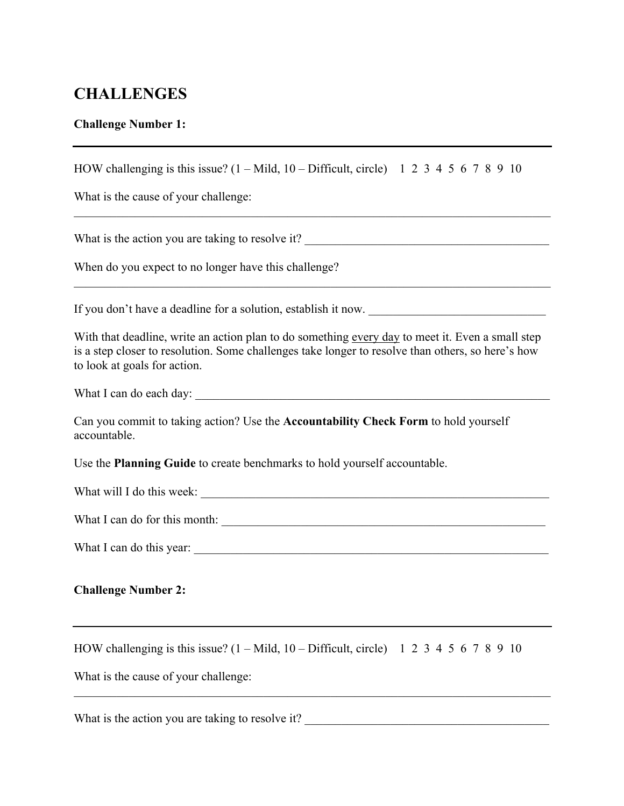## **CHALLENGES**

## **Challenge Number 1:**

| HOW challenging is this issue? $(1 -$ Mild, $10 -$ Difficult, circle) 1 2 3 4 5 6 7 8 9 10                                                                                                                                            |
|---------------------------------------------------------------------------------------------------------------------------------------------------------------------------------------------------------------------------------------|
| What is the cause of your challenge:                                                                                                                                                                                                  |
| What is the action you are taking to resolve it? ________________________________                                                                                                                                                     |
| When do you expect to no longer have this challenge?                                                                                                                                                                                  |
| If you don't have a deadline for a solution, establish it now.                                                                                                                                                                        |
| With that deadline, write an action plan to do something every day to meet it. Even a small step<br>is a step closer to resolution. Some challenges take longer to resolve than others, so here's how<br>to look at goals for action. |
|                                                                                                                                                                                                                                       |
| Can you commit to taking action? Use the Accountability Check Form to hold yourself<br>accountable.                                                                                                                                   |
| Use the <b>Planning Guide</b> to create benchmarks to hold yourself accountable.                                                                                                                                                      |
|                                                                                                                                                                                                                                       |
|                                                                                                                                                                                                                                       |
|                                                                                                                                                                                                                                       |
| <b>Challenge Number 2:</b>                                                                                                                                                                                                            |
| HOW challenging is this issue? $(1 -$ Mild, $10 -$ Difficult, circle) 1 2 3 4 5 6 7 8 9 10                                                                                                                                            |
| What is the cause of your challenge:                                                                                                                                                                                                  |
|                                                                                                                                                                                                                                       |

What is the action you are taking to resolve it? \_\_\_\_\_\_\_\_\_\_\_\_\_\_\_\_\_\_\_\_\_\_\_\_\_\_\_\_\_\_\_\_